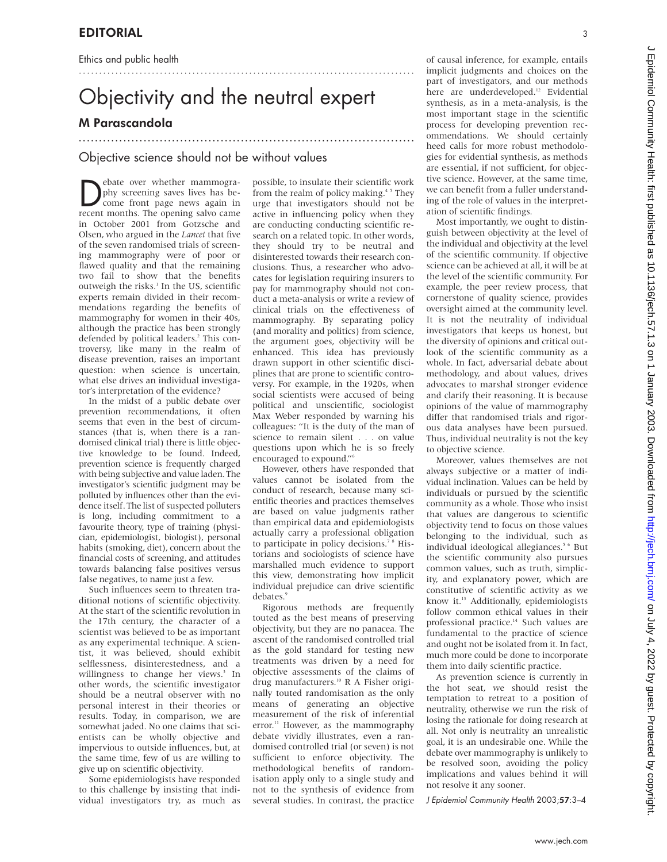Ethics and public health

# Objectivity and the neutral expert M Parascandola

...................................................................................

...................................................................................

# Objective science should not be without values

**D**ebate over whether mammogra-<br>phy screening saves lives has be-<br>come front page news again in phy screening saves lives has become front page news again in recent months. The opening salvo came in October 2001 from Gotzsche and Olsen, who argued in the *Lancet* that five of the seven randomised trials of screening mammography were of poor or flawed quality and that the remaining two fail to show that the benefits outweigh the risks.<sup>1</sup> In the US, scientific experts remain divided in their recommendations regarding the benefits of mammography for women in their 40s, although the practice has been strongly defended by political leaders.<sup>2</sup> This controversy, like many in the realm of disease prevention, raises an important question: when science is uncertain, what else drives an individual investigator's interpretation of the evidence?

In the midst of a public debate over prevention recommendations, it often seems that even in the best of circumstances (that is, when there is a randomised clinical trial) there is little objective knowledge to be found. Indeed, prevention science is frequently charged with being subjective and value laden. The investigator's scientific judgment may be polluted by influences other than the evidence itself. The list of suspected polluters is long, including commitment to a favourite theory, type of training (physician, epidemiologist, biologist), personal habits (smoking, diet), concern about the financial costs of screening, and attitudes towards balancing false positives versus false negatives, to name just a few.

Such influences seem to threaten traditional notions of scientific objectivity. At the start of the scientific revolution in the 17th century, the character of a scientist was believed to be as important as any experimental technique. A scientist, it was believed, should exhibit selflessness, disinterestedness, and a willingness to change her views.<sup>3</sup> In other words, the scientific investigator should be a neutral observer with no personal interest in their theories or results. Today, in comparison, we are somewhat jaded. No one claims that scientists can be wholly objective and impervious to outside influences, but, at the same time, few of us are willing to give up on scientific objectivity.

Some epidemiologists have responded to this challenge by insisting that individual investigators try, as much as possible, to insulate their scientific work from the realm of policy making.<sup>45</sup> They urge that investigators should not be active in influencing policy when they are conducting conducting scientific research on a related topic. In other words, they should try to be neutral and disinterested towards their research conclusions. Thus, a researcher who advocates for legislation requiring insurers to pay for mammography should not conduct a meta-analysis or write a review of clinical trials on the effectiveness of mammography. By separating policy (and morality and politics) from science, the argument goes, objectivity will be enhanced. This idea has previously drawn support in other scientific disciplines that are prone to scientific controversy. For example, in the 1920s, when social scientists were accused of being political and unscientific, sociologist Max Weber responded by warning his colleagues: "It is the duty of the man of science to remain silent . . . on value questions upon which he is so freely encouraged to expound."6

However, others have responded that values cannot be isolated from the conduct of research, because many scientific theories and practices themselves are based on value judgments rather than empirical data and epidemiologists actually carry a professional obligation to participate in policy decisions.<sup>78</sup> Historians and sociologists of science have marshalled much evidence to support this view, demonstrating how implicit individual prejudice can drive scientific debates.<sup>9</sup>

Rigorous methods are frequently touted as the best means of preserving objectivity, but they are no panacea. The ascent of the randomised controlled trial as the gold standard for testing new treatments was driven by a need for objective assessments of the claims of drug manufacturers.10 R A Fisher originally touted randomisation as the only means of generating an objective measurement of the risk of inferential error.<sup>11</sup> However, as the mammography debate vividly illustrates, even a randomised controlled trial (or seven) is not sufficient to enforce objectivity. The methodological benefits of randomisation apply only to a single study and not to the synthesis of evidence from several studies. In contrast, the practice

of causal inference, for example, entails implicit judgments and choices on the part of investigators, and our methods here are underdeveloped.<sup>12</sup> Evidential synthesis, as in a meta-analysis, is the most important stage in the scientific process for developing prevention recommendations. We should certainly heed calls for more robust methodologies for evidential synthesis, as methods are essential, if not sufficient, for objective science. However, at the same time, we can benefit from a fuller understanding of the role of values in the interpretation of scientific findings.

Most importantly, we ought to distinguish between objectivity at the level of the individual and objectivity at the level of the scientific community. If objective science can be achieved at all, it will be at the level of the scientific community. For example, the peer review process, that cornerstone of quality science, provides oversight aimed at the community level. It is not the neutrality of individual investigators that keeps us honest, but the diversity of opinions and critical outlook of the scientific community as a whole. In fact, adversarial debate about methodology, and about values, drives advocates to marshal stronger evidence and clarify their reasoning. It is because opinions of the value of mammography differ that randomised trials and rigorous data analyses have been pursued. Thus, individual neutrality is not the key to objective science.

Moreover, values themselves are not always subjective or a matter of individual inclination. Values can be held by individuals or pursued by the scientific community as a whole. Those who insist that values are dangerous to scientific objectivity tend to focus on those values belonging to the individual, such as individual ideological allegiances.<sup>56</sup> But the scientific community also pursues common values, such as truth, simplicity, and explanatory power, which are constitutive of scientific activity as we know it.13 Additionally, epidemiologists follow common ethical values in their professional practice.<sup>14</sup> Such values are fundamental to the practice of science and ought not be isolated from it. In fact, much more could be done to incorporate them into daily scientific practice.

As prevention science is currently in the hot seat, we should resist the temptation to retreat to a position of neutrality, otherwise we run the risk of losing the rationale for doing research at all. Not only is neutrality an unrealistic goal, it is an undesirable one. While the debate over mammography is unlikely to be resolved soon, avoiding the policy implications and values behind it will not resolve it any sooner.

J Epidemiol Community Health 2003;57:3–4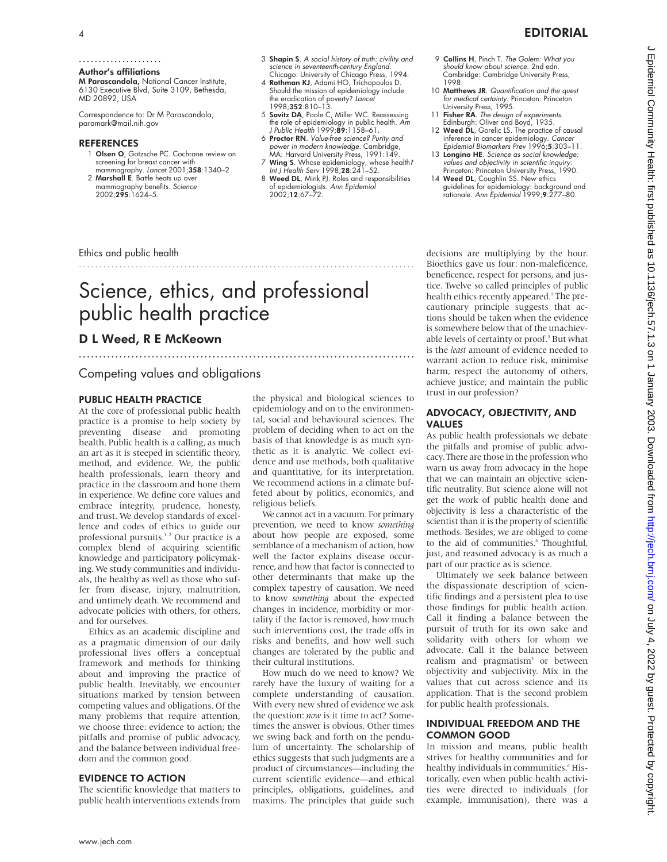### .....................

Author's affiliations M Parascandola, National Cancer Institute, 6130 Executive Blvd, Suite 3109, Bethesda, MD 20892, USA

Correspondence to: Dr M Parascandola; paramark@mail.nih.gov

#### REFERENCES

- 1 Olsen O, Gotzsche PC. Cochrane review on screening for breast cancer with mammography. Lancet 2001;358:1340–2
- 2 Marshall E. Battle heats up over mammography benefits. Science 2002;295:1624–5.
- 3 Shapin S. A social history of truth: civility and science in seventeenth-century England. Chicago: University of Chicago Press, 1994.
- 4 Rothman KJ, Adami HO, Trichopoulos D. Should the mission of epidemiology include the eradication of poverty? Lancet 1998;352:810–13.
- 5 Savitz DA, Poole C, Miller WC. Reassessing the role of epidemiology in public health. Am J Public Health 1999;89:1158–61.
- 6 Proctor RN. Value-free science? Purity and power in modern knowledge. Cambridge, MA: Harvard University Press, 1991:149.
- 7 Wing S. Whose epidemiology, whose health? Int J Health Serv 1998;28:241–52.
- 8 Weed DL, Mink PJ. Roles and responsibilities of epidemiologists. Ann Epidemiol<br>2002;**12**:67–72.

...................................................................................

- 9 Collins H, Pinch T. The Golem: What you should know about science. 2nd edn. Cambridge: Cambridge University Press, 1998.
- 10 Matthews JR. Quantification and the quest for medical certainty. Princeton: Princeton University Press, 1995.
- 11 Fisher RA. The design of experiments. Edinburgh: Oliver and Boyd, 1935.
- 12 Weed DL, Gorelic LS. The practice of causal inference in cancer epidemiology. Cancer Epidemiol Biomarkers Prev 1996;5:303–11.
- 13 Longino HE. Science as social knowledge: values and objectivity in scientific inquiry. Princeton: Princeton University Press, 1990.
- 14 Weed DL, Coughlin SS. New ethics guidelines for epidemiology: background and rationale. Ann Epidemiol 1999;9:277–80.

## Ethics and public health

# Science, ethics, and professional public health practice

...................................................................................

# D L Weed, R E McKeown

# Competing values and obligations

#### PUBLIC HEALTH PRACTICE

At the core of professional public health practice is a promise to help society by preventing disease and promoting health. Public health is a calling, as much an art as it is steeped in scientific theory, method, and evidence. We, the public health professionals, learn theory and practice in the classroom and hone them in experience. We define core values and embrace integrity, prudence, honesty, and trust. We develop standards of excellence and codes of ethics to guide our professional pursuits.<sup>12</sup> Our practice is a complex blend of acquiring scientific knowledge and participatory policymaking. We study communities and individuals, the healthy as well as those who suffer from disease, injury, malnutrition, and untimely death. We recommend and advocate policies with others, for others, and for ourselves.

Ethics as an academic discipline and as a pragmatic dimension of our daily professional lives offers a conceptual framework and methods for thinking about and improving the practice of public health. Inevitably, we encounter situations marked by tension between competing values and obligations. Of the many problems that require attention, we choose three: evidence to action; the pitfalls and promise of public advocacy, and the balance between individual freedom and the common good.

#### EVIDENCE TO ACTION

The scientific knowledge that matters to public health interventions extends from

the physical and biological sciences to epidemiology and on to the environmental, social and behavioural sciences. The problem of deciding when to act on the basis of that knowledge is as much synthetic as it is analytic. We collect evidence and use methods, both qualitative and quantitative, for its interpretation. We recommend actions in a climate buffeted about by politics, economics, and religious beliefs.

We cannot act in a vacuum. For primary prevention, we need to know *something* about how people are exposed, some semblance of a mechanism of action, how well the factor explains disease occurrence, and how that factor is connected to other determinants that make up the complex tapestry of causation. We need to know *something* about the expected changes in incidence, morbidity or mortality if the factor is removed, how much such interventions cost, the trade offs in risks and benefits, and how well such changes are tolerated by the public and their cultural institutions.

How much do we need to know? We rarely have the luxury of waiting for a complete understanding of causation. With every new shred of evidence we ask the question: *now* is it time to act? Sometimes the answer is obvious. Other times we swing back and forth on the pendulum of uncertainty. The scholarship of ethics suggests that such judgments are a product of circumstances—including the current scientific evidence—and ethical principles, obligations, guidelines, and maxims. The principles that guide such decisions are multiplying by the hour. Bioethics gave us four: non-maleficence, beneficence, respect for persons, and justice. Twelve so called principles of public health ethics recently appeared.<sup>1</sup> The precautionary principle suggests that actions should be taken when the evidence is somewhere below that of the unachievable levels of certainty or proof.<sup>3</sup> But what is the *least* amount of evidence needed to warrant action to reduce risk, minimise harm, respect the autonomy of others, achieve justice, and maintain the public trust in our profession?

#### ADVOCACY, OBJECTIVITY, AND VALUES

As public health professionals we debate the pitfalls and promise of public advocacy. There are those in the profession who warn us away from advocacy in the hope that we can maintain an objective scientific neutrality. But science alone will not get the work of public health done and objectivity is less a characteristic of the scientist than it is the property of scientific methods. Besides, we are obliged to come to the aid of communities.<sup>4</sup> Thoughtful, just, and reasoned advocacy is as much a part of our practice as is science.

Ultimately we seek balance between the dispassionate description of scientific findings and a persistent plea to use those findings for public health action. Call it finding a balance between the pursuit of truth for its own sake and solidarity with others for whom we advocate. Call it the balance between realism and pragmatism<sup>5</sup> or between objectivity and subjectivity. Mix in the values that cut across science and its application. That is the second problem for public health professionals.

#### INDIVIDUAL FREEDOM AND THE COMMON GOOD

In mission and means, public health strives for healthy communities and for healthy individuals in communities.<sup>6</sup> Historically, even when public health activities were directed to individuals (for example, immunisation), there was a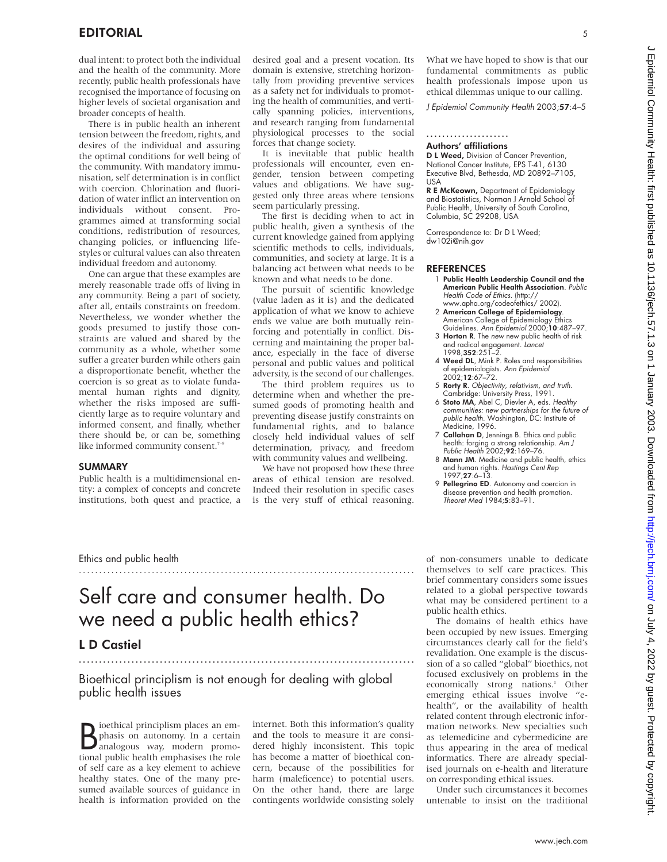dual intent: to protect both the individual and the health of the community. More recently, public health professionals have recognised the importance of focusing on higher levels of societal organisation and broader concepts of health.

There is in public health an inherent tension between the freedom, rights, and desires of the individual and assuring the optimal conditions for well being of the community. With mandatory immunisation, self determination is in conflict with coercion. Chlorination and fluoridation of water inflict an intervention on individuals without consent. Programmes aimed at transforming social conditions, redistribution of resources, changing policies, or influencing lifestyles or cultural values can also threaten individual freedom and autonomy.

One can argue that these examples are merely reasonable trade offs of living in any community. Being a part of society, after all, entails constraints on freedom. Nevertheless, we wonder whether the goods presumed to justify those constraints are valued and shared by the community as a whole, whether some suffer a greater burden while others gain a disproportionate benefit, whether the coercion is so great as to violate fundamental human rights and dignity, whether the risks imposed are sufficiently large as to require voluntary and informed consent, and finally, whether there should be, or can be, something like informed community consent.<sup>7-9</sup>

#### SUMMARY

Public health is a multidimensional entity: a complex of concepts and concrete institutions, both quest and practice, a desired goal and a present vocation. Its domain is extensive, stretching horizontally from providing preventive services as a safety net for individuals to promoting the health of communities, and vertically spanning policies, interventions, and research ranging from fundamental physiological processes to the social forces that change society.

It is inevitable that public health professionals will encounter, even engender, tension between competing values and obligations. We have suggested only three areas where tensions seem particularly pressing.

The first is deciding when to act in public health, given a synthesis of the current knowledge gained from applying scientific methods to cells, individuals, communities, and society at large. It is a balancing act between what needs to be known and what needs to be done.

The pursuit of scientific knowledge (value laden as it is) and the dedicated application of what we know to achieve ends we value are both mutually reinforcing and potentially in conflict. Discerning and maintaining the proper balance, especially in the face of diverse personal and public values and political adversity, is the second of our challenges.

The third problem requires us to determine when and whether the presumed goods of promoting health and preventing disease justify constraints on fundamental rights, and to balance closely held individual values of self determination, privacy, and freedom with community values and wellbeing.

We have not proposed how these three areas of ethical tension are resolved. Indeed their resolution in specific cases is the very stuff of ethical reasoning.

What we have hoped to show is that our fundamental commitments as public health professionals impose upon us ethical dilemmas unique to our calling.

J Epidemiol Community Health 2003;57:4–5

# .....................

### Authors' affiliations

D L Weed, Division of Cancer Prevention, National Cancer Institute, EPS T-41, 6130 Executive Blvd, Bethesda, MD 20892–7105, USA

**R E McKeown,** Department of Epidemiology<br>and Biostatistics, Norman J Arnold School of Public Health, University of South Carolina, Columbia, SC 29208, USA

Correspondence to: Dr D L Weed; dw102i@nih.gov

#### **REFERENCES**

- 1 Public Health Leadership Council and the American Public Health Association. Public Health Code of Ethics. (http://
- www.apha.org/codeofethics/ 2002). 2 American College of Epidemiology. American College of Epidemiology Ethics Guidelines. Ann Epidemiol 2000;10:487–97.
- 3 Horton R. The new new public health of risk and radical engagement. Lancet 1998;352:251–2.
- 4 Weed DL, Mink P. Roles and responsibilities of epidemiologists. Ann Epidemiol<br>2002;**12**:67–72.
- 5 Rorty R. Objectivity, relativism, and truth. Cambridge: University Press, 1991.
- 6 Stoto MA, Abel C, Dievler A, eds. Healthy communities: new partnerships for the future of public health. Washington, DC: Institute of Medicine, 1996.
- 7 Callahan D, Jennings B. Ethics and public health: forging a strong relationship. *Am J*<br>Public Health 2002;**92**:169–76.
- 8 Mann JM. Medicine and public health, ethics and human rights. Hastings Cent Rep 1997;27:6–13.
- 9 Pellegrino ED. Autonomy and coercion in disease prevention and health promotion. Theoret Med 1984;5:83–91.

#### Ethics and public health

# Self care and consumer health. Do we need a public health ethics?

...................................................................................

...................................................................................

# L D Castiel

Bioethical principlism is not enough for dealing with global public health issues

**B** loethical principlism places an emphasis on autonomy. In a certain analogous way, modern promotional public health emphasises the role ioethical principlism places an emphasis on autonomy. In a certain analogous way, modern promoof self care as a key element to achieve healthy states. One of the many presumed available sources of guidance in health is information provided on the

internet. Both this information's quality and the tools to measure it are considered highly inconsistent. This topic has become a matter of bioethical concern, because of the possibilities for harm (maleficence) to potential users. On the other hand, there are large contingents worldwide consisting solely of non-consumers unable to dedicate themselves to self care practices. This brief commentary considers some issues related to a global perspective towards what may be considered pertinent to a public health ethics.

The domains of health ethics have been occupied by new issues. Emerging circumstances clearly call for the field's revalidation. One example is the discussion of a so called "global" bioethics, not focused exclusively on problems in the economically strong nations.<sup>1</sup> Other emerging ethical issues involve "ehealth", or the availability of health related content through electronic information networks. New specialties such as telemedicine and cybermedicine are thus appearing in the area of medical informatics. There are already specialised journals on e-health and literature on corresponding ethical issues.

Under such circumstances it becomes untenable to insist on the traditional